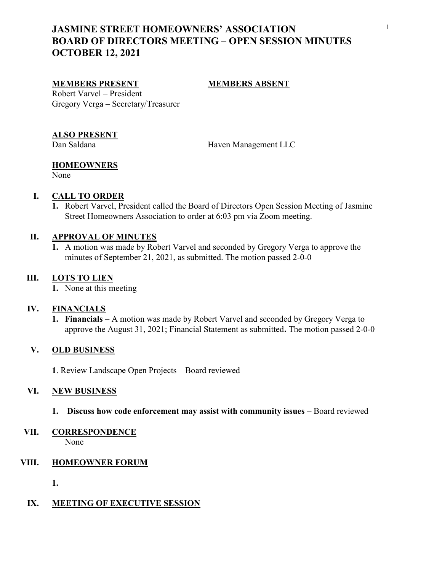# JASMINE STREET HOMEOWNERS' ASSOCIATION BOARD OF DIRECTORS MEETING – OPEN SESSION MINUTES OCTOBER 12, 2021

#### MEMBERS PRESENT MEMBERS ABSENT

Robert Varvel – President Gregory Verga – Secretary/Treasurer

#### ALSO PRESENT

Dan Saldana Haven Management LLC

### **HOMEOWNERS**

None

#### I. CALL TO ORDER

1. Robert Varvel, President called the Board of Directors Open Session Meeting of Jasmine Street Homeowners Association to order at 6:03 pm via Zoom meeting.

#### II. APPROVAL OF MINUTES

1. A motion was made by Robert Varvel and seconded by Gregory Verga to approve the minutes of September 21, 2021, as submitted. The motion passed 2-0-0

#### III. LOTS TO LIEN

1. None at this meeting

#### IV. FINANCIALS

1. Financials – A motion was made by Robert Varvel and seconded by Gregory Verga to approve the August 31, 2021; Financial Statement as submitted. The motion passed 2-0-0

### V. OLD BUSINESS

1. Review Landscape Open Projects – Board reviewed

#### VI. NEW BUSINESS

1. Discuss how code enforcement may assist with community issues – Board reviewed

## VII. CORRESPONDENCE

None

#### VIII. HOMEOWNER FORUM

1.

#### IX. MEETING OF EXECUTIVE SESSION